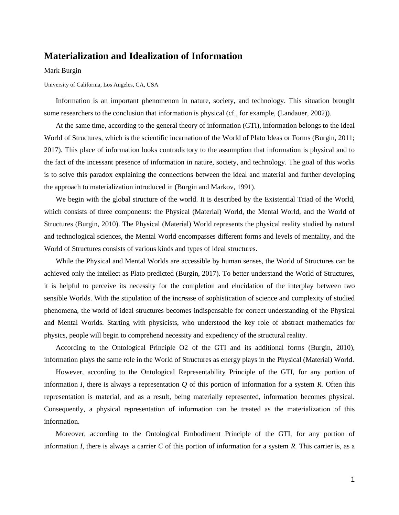## **Materialization and Idealization of Information**

## Mark Burgin

University of California, Los Angeles, CA, USA

Information is an important phenomenon in nature, society, and technology. This situation brought some researchers to the conclusion that information is physical (cf., for example, (Landauer, 2002)).

At the same time, according to the general theory of information (GTI), information belongs to the ideal World of Structures, which is the scientific incarnation of the World of Plato Ideas or Forms (Burgin, 2011; 2017). This place of information looks contradictory to the assumption that information is physical and to the fact of the incessant presence of information in nature, society, and technology. The goal of this works is to solve this paradox explaining the connections between the ideal and material and further developing the approach to materialization introduced in (Burgin and Markov, 1991).

We begin with the global structure of the world. It is described by the Existential Triad of the World, which consists of three components: the Physical (Material) World, the Mental World, and the World of Structures (Burgin, 2010). The Physical (Material) World represents the physical reality studied by natural and technological sciences, the Mental World encompasses different forms and levels of mentality, and the World of Structures consists of various kinds and types of ideal structures.

While the Physical and Mental Worlds are accessible by human senses, the World of Structures can be achieved only the intellect as Plato predicted (Burgin, 2017). To better understand the World of Structures, it is helpful to perceive its necessity for the completion and elucidation of the interplay between two sensible Worlds. With the stipulation of the increase of sophistication of science and complexity of studied phenomena, the world of ideal structures becomes indispensable for correct understanding of the Physical and Mental Worlds. Starting with physicists, who understood the key role of abstract mathematics for physics, people will begin to comprehend necessity and expediency of the structural reality.

According to the Ontological Principle O2 of the GTI and its additional forms (Burgin, 2010), information plays the same role in the World of Structures as energy plays in the Physical (Material) World.

However, according to the Ontological Representability Principle of the GTI, for any portion of information *I*, there is always a representation *Q* of this portion of information for a system *R.* Often this representation is material, and as a result, being materially represented, information becomes physical. Consequently, a physical representation of information can be treated as the materialization of this information.

Moreover, according to the Ontological Embodiment Principle of the GTI, for any portion of information *I*, there is always a carrier *C* of this portion of information for a system *R.* This carrier is, as a